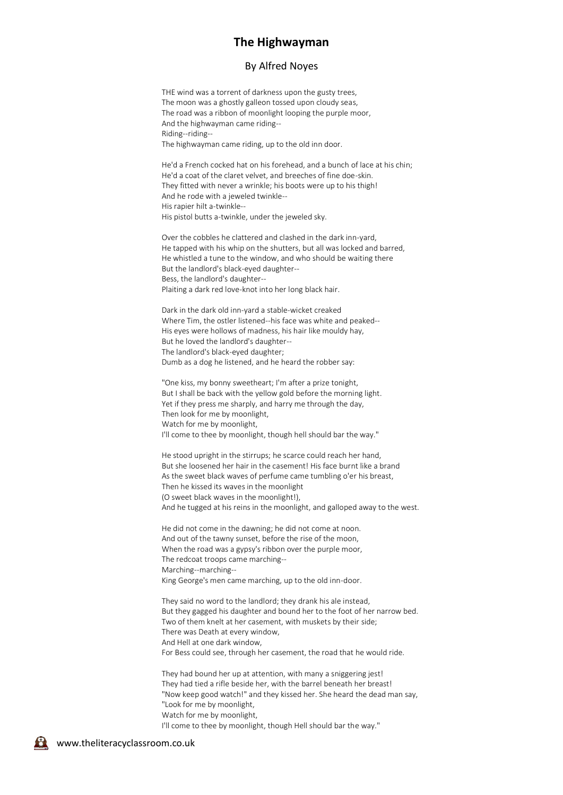## **The Highwayman**

## By Alfred Noyes

THE wind was a torrent of darkness upon the gusty trees, The moon was a ghostly galleon tossed upon cloudy seas, The road was a ribbon of moonlight looping the purple moor, And the highwayman came riding-- Riding--riding-- The highwayman came riding, up to the old inn door.

He'd a French cocked hat on his forehead, and a bunch of lace at his chin; He'd a coat of the claret velvet, and breeches of fine doe-skin. They fitted with never a wrinkle; his boots were up to his thigh! And he rode with a jeweled twinkle-- His rapier hilt a-twinkle-- His pistol butts a-twinkle, under the jeweled sky.

Over the cobbles he clattered and clashed in the dark inn-yard, He tapped with his whip on the shutters, but all was locked and barred, He whistled a tune to the window, and who should be waiting there But the landlord's black-eyed daughter-- Bess, the landlord's daughter-- Plaiting a dark red love-knot into her long black hair.

Dark in the dark old inn-yard a stable-wicket creaked Where Tim, the ostler listened--his face was white and peaked-- His eyes were hollows of madness, his hair like mouldy hay, But he loved the landlord's daughter-- The landlord's black-eyed daughter; Dumb as a dog he listened, and he heard the robber say:

"One kiss, my bonny sweetheart; I'm after a prize tonight, But I shall be back with the yellow gold before the morning light. Yet if they press me sharply, and harry me through the day, Then look for me by moonlight, Watch for me by moonlight, I'll come to thee by moonlight, though hell should bar the way."

He stood upright in the stirrups; he scarce could reach her hand, But she loosened her hair in the casement! His face burnt like a brand As the sweet black waves of perfume came tumbling o'er his breast, Then he kissed its waves in the moonlight (O sweet black waves in the moonlight!), And he tugged at his reins in the moonlight, and galloped away to the west.

He did not come in the dawning; he did not come at noon. And out of the tawny sunset, before the rise of the moon, When the road was a gypsy's ribbon over the purple moor, The redcoat troops came marching-- Marching--marching-- King George's men came marching, up to the old inn-door.

They said no word to the landlord; they drank his ale instead, But they gagged his daughter and bound her to the foot of her narrow bed. Two of them knelt at her casement, with muskets by their side; There was Death at every window, And Hell at one dark window, For Bess could see, through her casement, the road that he would ride.

They had bound her up at attention, with many a sniggering jest! They had tied a rifle beside her, with the barrel beneath her breast! "Now keep good watch!" and they kissed her. She heard the dead man say, "Look for me by moonlight, Watch for me by moonlight, I'll come to thee by moonlight, though Hell should bar the way."